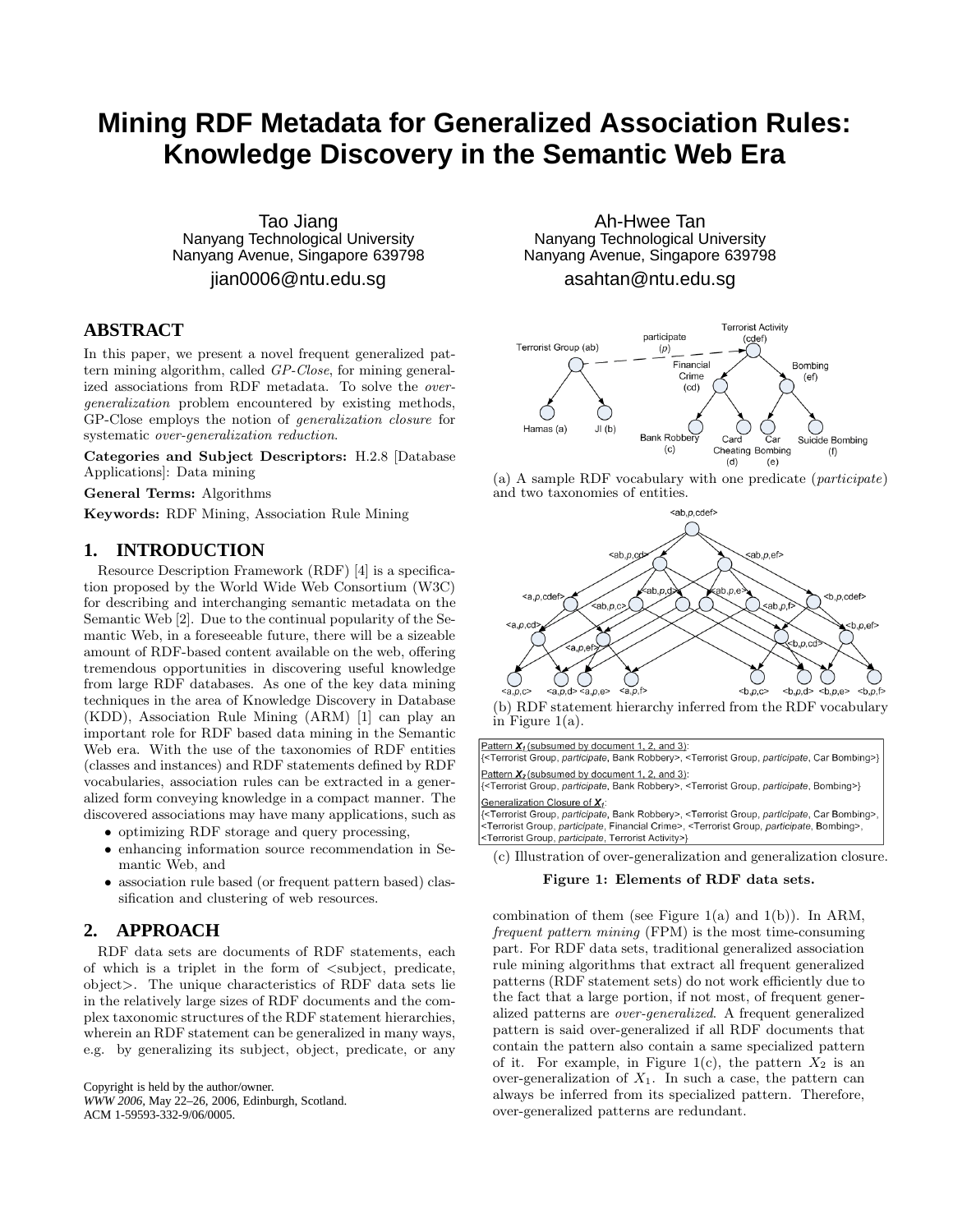# **Mining RDF Metadata for Generalized Association Rules: Knowledge Discovery in the Semantic Web Era**

Tao Jiang Nanyang Technological University Nanyang Avenue, Singapore 639798

jian0006@ntu.edu.sg

## **ABSTRACT**

In this paper, we present a novel frequent generalized pattern mining algorithm, called GP-Close, for mining generalized associations from RDF metadata. To solve the overgeneralization problem encountered by existing methods, GP-Close employs the notion of generalization closure for systematic over-generalization reduction.

Categories and Subject Descriptors: H.2.8 [Database Applications]: Data mining

General Terms: Algorithms

Keywords: RDF Mining, Association Rule Mining

## **1. INTRODUCTION**

Resource Description Framework (RDF) [4] is a specification proposed by the World Wide Web Consortium (W3C) for describing and interchanging semantic metadata on the Semantic Web [2]. Due to the continual popularity of the Semantic Web, in a foreseeable future, there will be a sizeable amount of RDF-based content available on the web, offering tremendous opportunities in discovering useful knowledge from large RDF databases. As one of the key data mining techniques in the area of Knowledge Discovery in Database (KDD), Association Rule Mining (ARM) [1] can play an important role for RDF based data mining in the Semantic Web era. With the use of the taxonomies of RDF entities (classes and instances) and RDF statements defined by RDF vocabularies, association rules can be extracted in a generalized form conveying knowledge in a compact manner. The discovered associations may have many applications, such as

- optimizing RDF storage and query processing,
- enhancing information source recommendation in Semantic Web, and
- association rule based (or frequent pattern based) classification and clustering of web resources.

### **2. APPROACH**

RDF data sets are documents of RDF statements, each of which is a triplet in the form of <subject, predicate, object>. The unique characteristics of RDF data sets lie in the relatively large sizes of RDF documents and the complex taxonomic structures of the RDF statement hierarchies, wherein an RDF statement can be generalized in many ways, e.g. by generalizing its subject, object, predicate, or any

Copyright is held by the author/owner. *WWW 2006,* May 22–26, 2006, Edinburgh, Scotland. ACM 1-59593-332-9/06/0005.

Ah-Hwee Tan Nanyang Technological University Nanyang Avenue, Singapore 639798

asahtan@ntu.edu.sg







(b) RDF statement hierarchy inferred from the RDF vocabulary in Figure  $1(a)$ .

Pattern  $X_1$  (subsumed by document 1, 2, and 3): {<Terrorist Group, participate, Bank Robbery>, <Terrorist Group, participate, Car Bombing>} Pattern  $X_2$  (subsumed by document 1, 2, and 3): {<Terrorist Group, participate, Bank Robbery>, <Terrorist Group, participate, Bombing>} Generalization Closure of X1: <Terrorist Group, participate, Financial Crime>, <Terrorist Group, participate, Bombing>, <Terrorist Group, participate, Terrorist Activity>}

(c) Illustration of over-generalization and generalization closure.

#### Figure 1: Elements of RDF data sets.

combination of them (see Figure 1(a) and 1(b)). In ARM, frequent pattern mining (FPM) is the most time-consuming part. For RDF data sets, traditional generalized association rule mining algorithms that extract all frequent generalized patterns (RDF statement sets) do not work efficiently due to the fact that a large portion, if not most, of frequent generalized patterns are over-generalized. A frequent generalized pattern is said over-generalized if all RDF documents that contain the pattern also contain a same specialized pattern of it. For example, in Figure 1(c), the pattern  $X_2$  is an over-generalization of  $X_1$ . In such a case, the pattern can always be inferred from its specialized pattern. Therefore, over-generalized patterns are redundant.